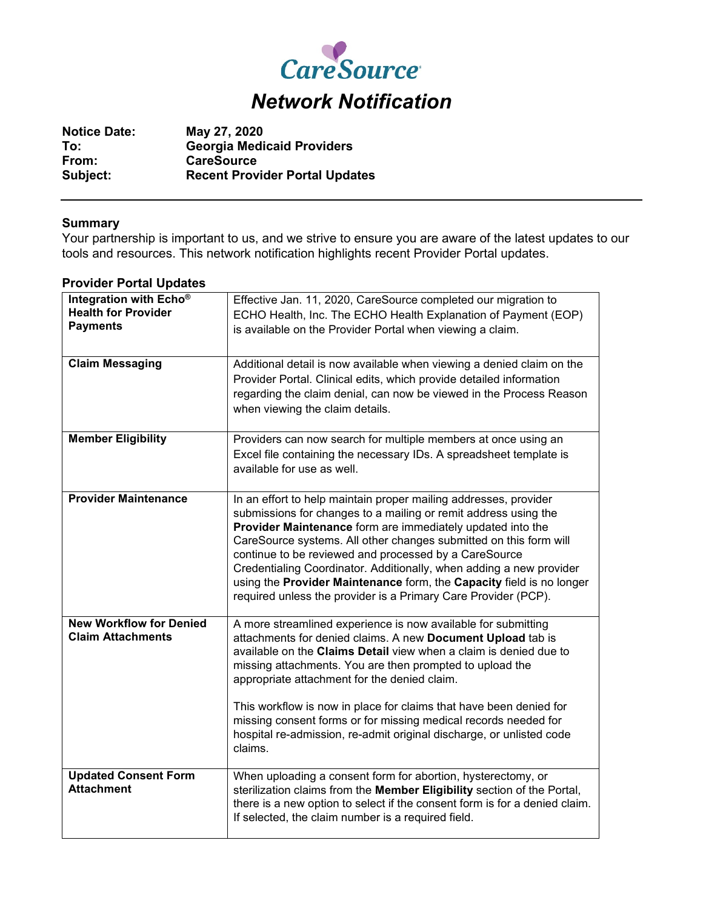

| <b>Notice Date:</b> | May 27, 2020                          |
|---------------------|---------------------------------------|
| To:                 | <b>Georgia Medicaid Providers</b>     |
| From:               | <b>CareSource</b>                     |
| Subject:            | <b>Recent Provider Portal Updates</b> |

## **Summary**

Your partnership is important to us, and we strive to ensure you are aware of the latest updates to our tools and resources. This network notification highlights recent Provider Portal updates.

| Integration with Echo <sup>®</sup><br><b>Health for Provider</b><br><b>Payments</b><br><b>Claim Messaging</b> | Effective Jan. 11, 2020, CareSource completed our migration to<br>ECHO Health, Inc. The ECHO Health Explanation of Payment (EOP)<br>is available on the Provider Portal when viewing a claim.<br>Additional detail is now available when viewing a denied claim on the<br>Provider Portal. Clinical edits, which provide detailed information<br>regarding the claim denial, can now be viewed in the Process Reason<br>when viewing the claim details.                                                                                          |
|---------------------------------------------------------------------------------------------------------------|--------------------------------------------------------------------------------------------------------------------------------------------------------------------------------------------------------------------------------------------------------------------------------------------------------------------------------------------------------------------------------------------------------------------------------------------------------------------------------------------------------------------------------------------------|
| <b>Member Eligibility</b>                                                                                     | Providers can now search for multiple members at once using an<br>Excel file containing the necessary IDs. A spreadsheet template is<br>available for use as well.                                                                                                                                                                                                                                                                                                                                                                               |
| <b>Provider Maintenance</b>                                                                                   | In an effort to help maintain proper mailing addresses, provider<br>submissions for changes to a mailing or remit address using the<br>Provider Maintenance form are immediately updated into the<br>CareSource systems. All other changes submitted on this form will<br>continue to be reviewed and processed by a CareSource<br>Credentialing Coordinator. Additionally, when adding a new provider<br>using the Provider Maintenance form, the Capacity field is no longer<br>required unless the provider is a Primary Care Provider (PCP). |
| <b>New Workflow for Denied</b><br><b>Claim Attachments</b>                                                    | A more streamlined experience is now available for submitting<br>attachments for denied claims. A new Document Upload tab is<br>available on the Claims Detail view when a claim is denied due to<br>missing attachments. You are then prompted to upload the<br>appropriate attachment for the denied claim.<br>This workflow is now in place for claims that have been denied for<br>missing consent forms or for missing medical records needed for<br>hospital re-admission, re-admit original discharge, or unlisted code<br>claims.        |
| <b>Updated Consent Form</b><br><b>Attachment</b>                                                              | When uploading a consent form for abortion, hysterectomy, or<br>sterilization claims from the Member Eligibility section of the Portal,<br>there is a new option to select if the consent form is for a denied claim.<br>If selected, the claim number is a required field.                                                                                                                                                                                                                                                                      |

## **Provider Portal Updates**